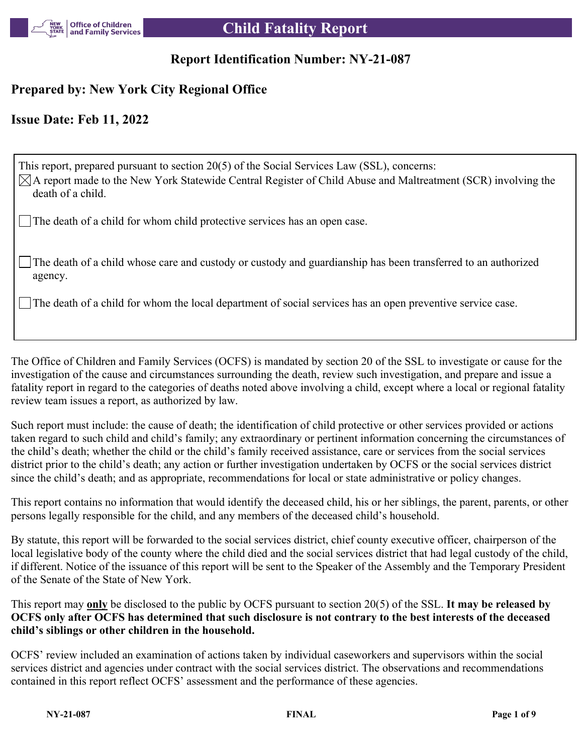

# **Report Identification Number: NY-21-087**

# **Prepared by: New York City Regional Office**

## **Issue Date: Feb 11, 2022**

This report, prepared pursuant to section 20(5) of the Social Services Law (SSL), concerns:  $\boxtimes$ A report made to the New York Statewide Central Register of Child Abuse and Maltreatment (SCR) involving the death of a child.

The death of a child for whom child protective services has an open case.

The death of a child whose care and custody or custody and guardianship has been transferred to an authorized agency.

The death of a child for whom the local department of social services has an open preventive service case.

The Office of Children and Family Services (OCFS) is mandated by section 20 of the SSL to investigate or cause for the investigation of the cause and circumstances surrounding the death, review such investigation, and prepare and issue a fatality report in regard to the categories of deaths noted above involving a child, except where a local or regional fatality review team issues a report, as authorized by law.

Such report must include: the cause of death; the identification of child protective or other services provided or actions taken regard to such child and child's family; any extraordinary or pertinent information concerning the circumstances of the child's death; whether the child or the child's family received assistance, care or services from the social services district prior to the child's death; any action or further investigation undertaken by OCFS or the social services district since the child's death; and as appropriate, recommendations for local or state administrative or policy changes.

This report contains no information that would identify the deceased child, his or her siblings, the parent, parents, or other persons legally responsible for the child, and any members of the deceased child's household.

By statute, this report will be forwarded to the social services district, chief county executive officer, chairperson of the local legislative body of the county where the child died and the social services district that had legal custody of the child, if different. Notice of the issuance of this report will be sent to the Speaker of the Assembly and the Temporary President of the Senate of the State of New York.

This report may **only** be disclosed to the public by OCFS pursuant to section 20(5) of the SSL. **It may be released by OCFS only after OCFS has determined that such disclosure is not contrary to the best interests of the deceased child's siblings or other children in the household.**

OCFS' review included an examination of actions taken by individual caseworkers and supervisors within the social services district and agencies under contract with the social services district. The observations and recommendations contained in this report reflect OCFS' assessment and the performance of these agencies.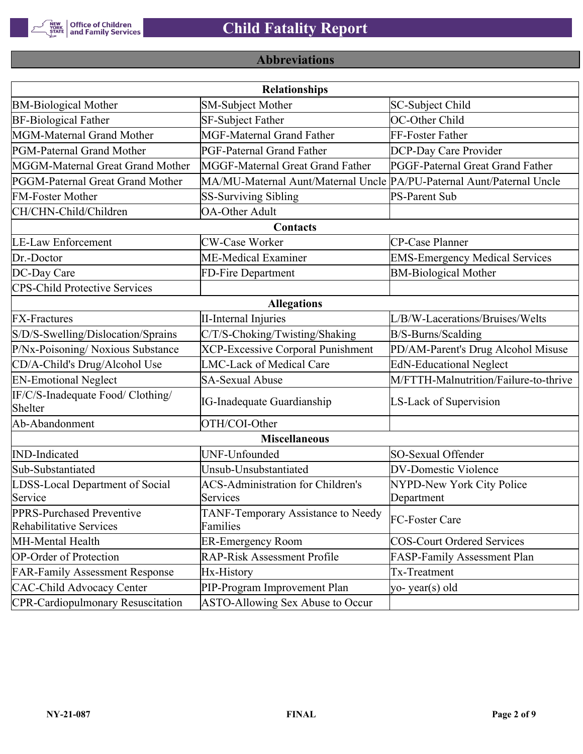

# **Abbreviations**

|                                                             | <b>Relationships</b>                                                  |                                       |
|-------------------------------------------------------------|-----------------------------------------------------------------------|---------------------------------------|
| <b>BM-Biological Mother</b>                                 | <b>SM-Subject Mother</b>                                              | SC-Subject Child                      |
| <b>BF-Biological Father</b>                                 | SF-Subject Father                                                     | OC-Other Child                        |
| MGM-Maternal Grand Mother                                   | <b>MGF-Maternal Grand Father</b>                                      | FF-Foster Father                      |
| PGM-Paternal Grand Mother                                   | PGF-Paternal Grand Father                                             | DCP-Day Care Provider                 |
| MGGM-Maternal Great Grand Mother                            | MGGF-Maternal Great Grand Father                                      | PGGF-Paternal Great Grand Father      |
| PGGM-Paternal Great Grand Mother                            | MA/MU-Maternal Aunt/Maternal Uncle PA/PU-Paternal Aunt/Paternal Uncle |                                       |
| <b>FM-Foster Mother</b>                                     | <b>SS-Surviving Sibling</b>                                           | <b>PS-Parent Sub</b>                  |
| CH/CHN-Child/Children                                       | <b>OA-Other Adult</b>                                                 |                                       |
|                                                             | Contacts                                                              |                                       |
| <b>LE-Law Enforcement</b>                                   | <b>CW-Case Worker</b>                                                 | CP-Case Planner                       |
| Dr.-Doctor                                                  | ME-Medical Examiner                                                   | <b>EMS-Emergency Medical Services</b> |
| DC-Day Care                                                 | FD-Fire Department                                                    | <b>BM-Biological Mother</b>           |
| <b>CPS-Child Protective Services</b>                        |                                                                       |                                       |
|                                                             | <b>Allegations</b>                                                    |                                       |
| <b>FX-Fractures</b>                                         | <b>II-Internal Injuries</b>                                           | L/B/W-Lacerations/Bruises/Welts       |
| S/D/S-Swelling/Dislocation/Sprains                          | C/T/S-Choking/Twisting/Shaking                                        | B/S-Burns/Scalding                    |
| P/Nx-Poisoning/ Noxious Substance                           | <b>XCP-Excessive Corporal Punishment</b>                              | PD/AM-Parent's Drug Alcohol Misuse    |
| CD/A-Child's Drug/Alcohol Use                               | <b>LMC-Lack of Medical Care</b>                                       | <b>EdN-Educational Neglect</b>        |
| <b>EN-Emotional Neglect</b>                                 | <b>SA-Sexual Abuse</b>                                                | M/FTTH-Malnutrition/Failure-to-thrive |
| IF/C/S-Inadequate Food/ Clothing/<br>Shelter                | <b>IG-Inadequate Guardianship</b>                                     | LS-Lack of Supervision                |
| Ab-Abandonment                                              | OTH/COI-Other                                                         |                                       |
|                                                             | <b>Miscellaneous</b>                                                  |                                       |
| <b>IND-Indicated</b>                                        | UNF-Unfounded                                                         | SO-Sexual Offender                    |
| Sub-Substantiated                                           | Unsub-Unsubstantiated                                                 | <b>DV-Domestic Violence</b>           |
| LDSS-Local Department of Social                             | <b>ACS-Administration for Children's</b>                              | NYPD-New York City Police             |
| Service                                                     | Services                                                              | Department                            |
| PPRS-Purchased Preventive<br><b>Rehabilitative Services</b> | TANF-Temporary Assistance to Needy<br>Families                        | FC-Foster Care                        |
| MH-Mental Health                                            | <b>ER-Emergency Room</b>                                              | <b>COS-Court Ordered Services</b>     |
| <b>OP-Order of Protection</b>                               | <b>RAP-Risk Assessment Profile</b>                                    | FASP-Family Assessment Plan           |
| <b>FAR-Family Assessment Response</b>                       | Hx-History                                                            | Tx-Treatment                          |
| <b>CAC-Child Advocacy Center</b>                            | PIP-Program Improvement Plan                                          | yo-year(s) old                        |
| <b>CPR-Cardiopulmonary Resuscitation</b>                    | ASTO-Allowing Sex Abuse to Occur                                      |                                       |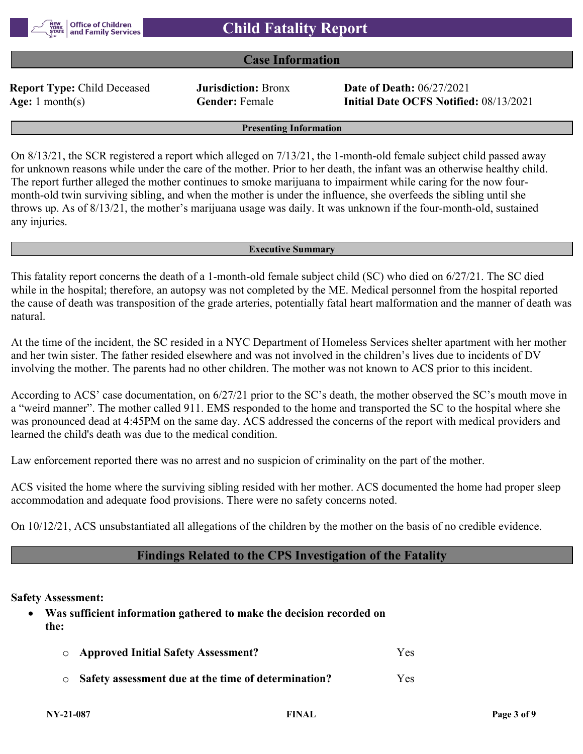#### **Case Information**

**Report Type:** Child Deceased **Jurisdiction:** Bronx **Date of Death:** 06/27/2021

**Age:** 1 month(s) **Gender:** Female **Initial Date OCFS Notified:** 08/13/2021

**Presenting Information**

On 8/13/21, the SCR registered a report which alleged on 7/13/21, the 1-month-old female subject child passed away for unknown reasons while under the care of the mother. Prior to her death, the infant was an otherwise healthy child. The report further alleged the mother continues to smoke marijuana to impairment while caring for the now fourmonth-old twin surviving sibling, and when the mother is under the influence, she overfeeds the sibling until she throws up. As of 8/13/21, the mother's marijuana usage was daily. It was unknown if the four-month-old, sustained any injuries.

#### **Executive Summary**

This fatality report concerns the death of a 1-month-old female subject child (SC) who died on 6/27/21. The SC died while in the hospital; therefore, an autopsy was not completed by the ME. Medical personnel from the hospital reported the cause of death was transposition of the grade arteries, potentially fatal heart malformation and the manner of death was natural.

At the time of the incident, the SC resided in a NYC Department of Homeless Services shelter apartment with her mother and her twin sister. The father resided elsewhere and was not involved in the children's lives due to incidents of DV involving the mother. The parents had no other children. The mother was not known to ACS prior to this incident.

According to ACS' case documentation, on 6/27/21 prior to the SC's death, the mother observed the SC's mouth move in a "weird manner". The mother called 911. EMS responded to the home and transported the SC to the hospital where she was pronounced dead at 4:45PM on the same day. ACS addressed the concerns of the report with medical providers and learned the child's death was due to the medical condition.

Law enforcement reported there was no arrest and no suspicion of criminality on the part of the mother.

ACS visited the home where the surviving sibling resided with her mother. ACS documented the home had proper sleep accommodation and adequate food provisions. There were no safety concerns noted.

On 10/12/21, ACS unsubstantiated all allegations of the children by the mother on the basis of no credible evidence.

### **Findings Related to the CPS Investigation of the Fatality**

**Safety Assessment:**

 **Was sufficient information gathered to make the decision recorded on the:**

| <b>O</b> Approved Initial Safety Assessment?                | Yes. |
|-------------------------------------------------------------|------|
| $\circ$ Safety assessment due at the time of determination? | Yes. |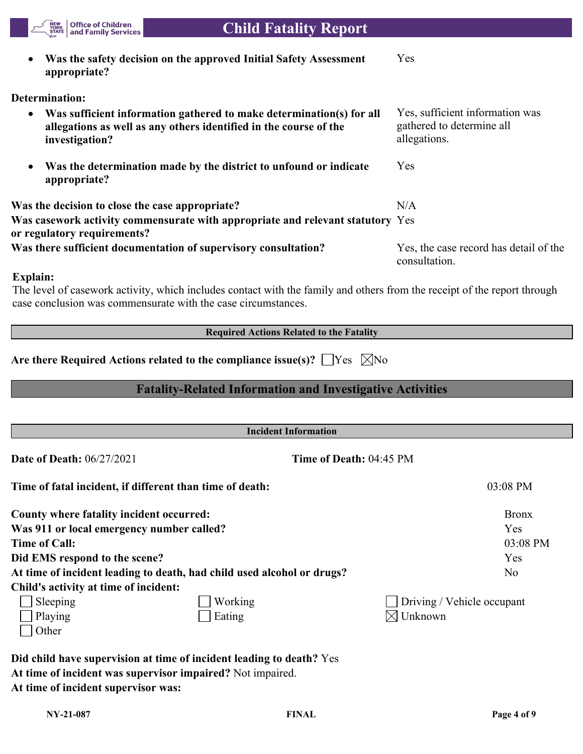

| Did child have supervision at time of incident leading to death? Yes |
|----------------------------------------------------------------------|
| At time of incident was supervisor impaired? Not impaired.           |
| At time of incident supervisor was:                                  |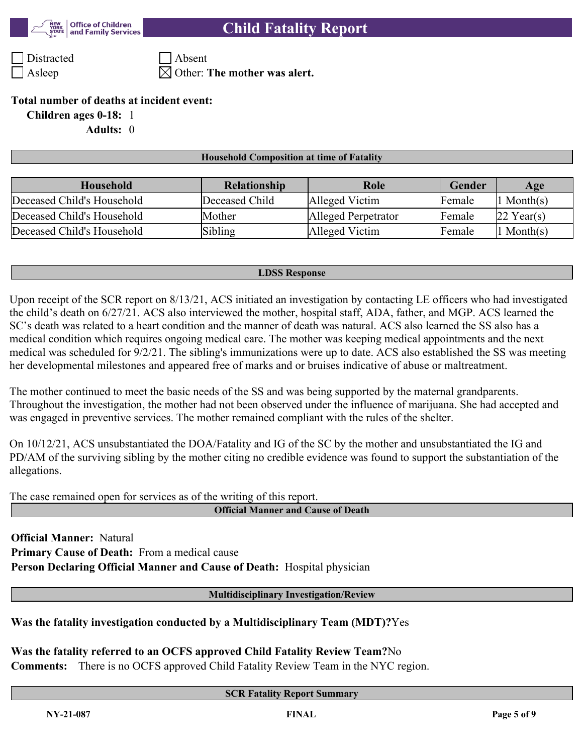

Distracted Absent

Asleep  $\boxtimes$  Other: **The mother was alert.** 

#### **Total number of deaths at incident event:**

**Children ages 0-18:** 1

**Adults:** 0

#### **Household Composition at time of Fatality**

| Household                  | <b>Relationship</b> | Role                | Gender | Age            |
|----------------------------|---------------------|---------------------|--------|----------------|
| Deceased Child's Household | Deceased Child      | Alleged Victim      | Female | $\ln$ Month(s) |
| Deceased Child's Household | Mother              | Alleged Perpetrator | Female | $22$ Year(s)   |
| Deceased Child's Household | Sibling             | Alleged Victim      | Female | $\ln$ Month(s) |

#### **LDSS Response**

Upon receipt of the SCR report on 8/13/21, ACS initiated an investigation by contacting LE officers who had investigated the child's death on 6/27/21. ACS also interviewed the mother, hospital staff, ADA, father, and MGP. ACS learned the SC's death was related to a heart condition and the manner of death was natural. ACS also learned the SS also has a medical condition which requires ongoing medical care. The mother was keeping medical appointments and the next medical was scheduled for 9/2/21. The sibling's immunizations were up to date. ACS also established the SS was meeting her developmental milestones and appeared free of marks and or bruises indicative of abuse or maltreatment.

The mother continued to meet the basic needs of the SS and was being supported by the maternal grandparents. Throughout the investigation, the mother had not been observed under the influence of marijuana. She had accepted and was engaged in preventive services. The mother remained compliant with the rules of the shelter.

On 10/12/21, ACS unsubstantiated the DOA/Fatality and IG of the SC by the mother and unsubstantiated the IG and PD/AM of the surviving sibling by the mother citing no credible evidence was found to support the substantiation of the allegations.

The case remained open for services as of the writing of this report.

**Official Manner and Cause of Death**

**Official Manner:** Natural **Primary Cause of Death:** From a medical cause **Person Declaring Official Manner and Cause of Death:** Hospital physician

**Multidisciplinary Investigation/Review**

### **Was the fatality investigation conducted by a Multidisciplinary Team (MDT)?**Yes

**Was the fatality referred to an OCFS approved Child Fatality Review Team?**No

**Comments:** There is no OCFS approved Child Fatality Review Team in the NYC region.

#### **SCR Fatality Report Summary**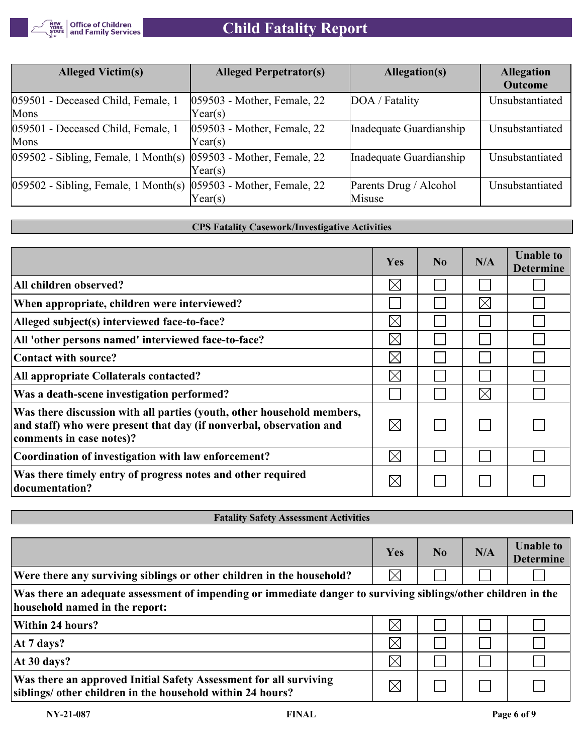

# **Child Fatality Report**

| <b>Alleged Victim(s)</b>                                                 | <b>Alleged Perpetrator(s)</b>          | Allegation(s)                    | <b>Allegation</b><br><b>Outcome</b> |
|--------------------------------------------------------------------------|----------------------------------------|----------------------------------|-------------------------------------|
| 059501 - Deceased Child, Female, 1<br>Mons                               | 059503 - Mother, Female, 22<br>Year(s) | DOA / Fatality                   | Unsubstantiated                     |
| 059501 - Deceased Child, Female, 1<br>Mons                               | 059503 - Mother, Female, 22<br>Year(s) | Inadequate Guardianship          | Unsubstantiated                     |
| $ 059502 - Sibling$ , Female, 1 Month(s) $ 059503 - Mother$ , Female, 22 | Year(s)                                | Inadequate Guardianship          | Unsubstantiated                     |
| $ 059502 - Sibling$ , Female, 1 Month(s) $ 059503 - Mother$ , Female, 22 | Year(s)                                | Parents Drug / Alcohol<br>Misuse | Unsubstantiated                     |

#### **CPS Fatality Casework/Investigative Activities**

|                                                                                                                                                                           | Yes         | N <sub>0</sub> | N/A         | <b>Unable to</b><br><b>Determine</b> |
|---------------------------------------------------------------------------------------------------------------------------------------------------------------------------|-------------|----------------|-------------|--------------------------------------|
| All children observed?                                                                                                                                                    | $\boxtimes$ |                |             |                                      |
| When appropriate, children were interviewed?                                                                                                                              |             |                | $\times$    |                                      |
| Alleged subject(s) interviewed face-to-face?                                                                                                                              | $\times$    |                |             |                                      |
| All 'other persons named' interviewed face-to-face?                                                                                                                       | $\boxtimes$ |                |             |                                      |
| Contact with source?                                                                                                                                                      | $\boxtimes$ |                |             |                                      |
| All appropriate Collaterals contacted?                                                                                                                                    | $\boxtimes$ |                |             |                                      |
| Was a death-scene investigation performed?                                                                                                                                |             |                | $\boxtimes$ |                                      |
| Was there discussion with all parties (youth, other household members,<br>and staff) who were present that day (if nonverbal, observation and<br>comments in case notes)? | $\boxtimes$ |                |             |                                      |
| Coordination of investigation with law enforcement?                                                                                                                       | $\boxtimes$ |                |             |                                      |
| Was there timely entry of progress notes and other required<br>documentation?                                                                                             | $\times$    |                |             |                                      |

### **Fatality Safety Assessment Activities**

|                                                                                                                                                 | Yes      | N <sub>0</sub> | N/A | <b>Unable to</b><br><b>Determine</b> |
|-------------------------------------------------------------------------------------------------------------------------------------------------|----------|----------------|-----|--------------------------------------|
| Were there any surviving siblings or other children in the household?                                                                           | $\times$ |                |     |                                      |
| Was there an adequate assessment of impending or immediate danger to surviving siblings/other children in the<br>household named in the report: |          |                |     |                                      |
| Within 24 hours?                                                                                                                                | $\times$ |                |     |                                      |
| At 7 days?                                                                                                                                      | $\times$ |                |     |                                      |
| At 30 days?                                                                                                                                     | $\times$ |                |     |                                      |
| Was there an approved Initial Safety Assessment for all surviving<br>siblings/ other children in the household within 24 hours?                 |          |                |     |                                      |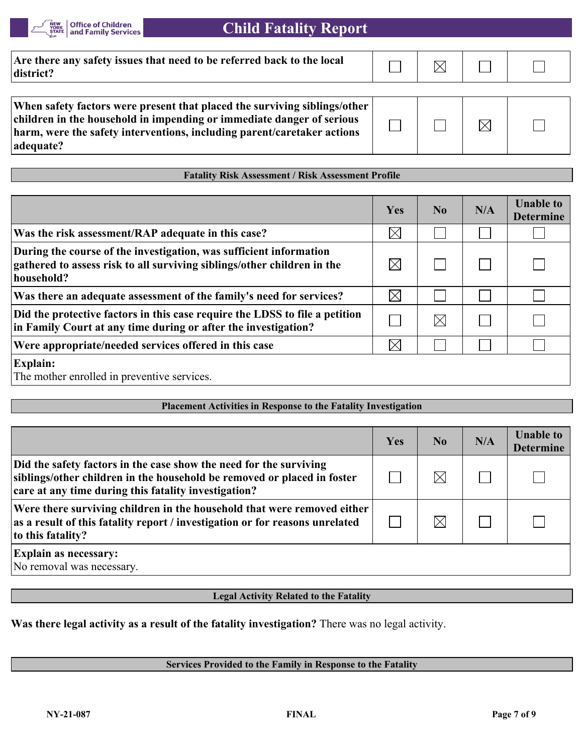

| Are there any safety issues that need to be referred back to the local<br>district?                                                                                                                                                        |  |  |
|--------------------------------------------------------------------------------------------------------------------------------------------------------------------------------------------------------------------------------------------|--|--|
|                                                                                                                                                                                                                                            |  |  |
| When safety factors were present that placed the surviving siblings/other<br>children in the household in impending or immediate danger of serious<br>harm, were the safety interventions, including parent/caretaker actions<br>adequate? |  |  |

**Fatality Risk Assessment / Risk Assessment Profile**

#### $Yes$  **No N/A Unable to Determine**  $\boxtimes$ **Was the risk assessment/RAP adequate in this case?**  $\sim$ **During the course of the investigation, was sufficient information**   $\boxtimes$ **gathered to assess risk to all surviving siblings/other children in the**   $\mathbf{I}$  $\mathbf{I}$ **household?**  $\boxtimes$ **Was there an adequate assessment of the family's need for services?**  $\Box$  $\sim$  $\mathbf{L}$ **Did the protective factors in this case require the LDSS to file a petition**   $\Box$  $\boxtimes$  $\mathbb{R}^2$  $\Box$ **in Family Court at any time during or after the investigation? Were appropriate/needed services offered in this case**  $\times$ **Explain:** The mother enrolled in preventive services.

#### **Placement Activities in Response to the Fatality Investigation**

|                                                                                                                                                                                                       | Yes | N <sub>0</sub> | N/A | <b>Unable to</b><br><b>Determine</b> |
|-------------------------------------------------------------------------------------------------------------------------------------------------------------------------------------------------------|-----|----------------|-----|--------------------------------------|
| Did the safety factors in the case show the need for the surviving<br>siblings/other children in the household be removed or placed in foster<br>care at any time during this fatality investigation? |     | $\boxtimes$    |     |                                      |
| Were there surviving children in the household that were removed either<br>as a result of this fatality report / investigation or for reasons unrelated<br>to this fatality?                          |     | $\boxtimes$    |     |                                      |
| <b>Explain as necessary:</b><br>No removal was necessary.                                                                                                                                             |     |                |     |                                      |

#### **Legal Activity Related to the Fatality**

**Was there legal activity as a result of the fatality investigation?** There was no legal activity.

#### **Services Provided to the Family in Response to the Fatality**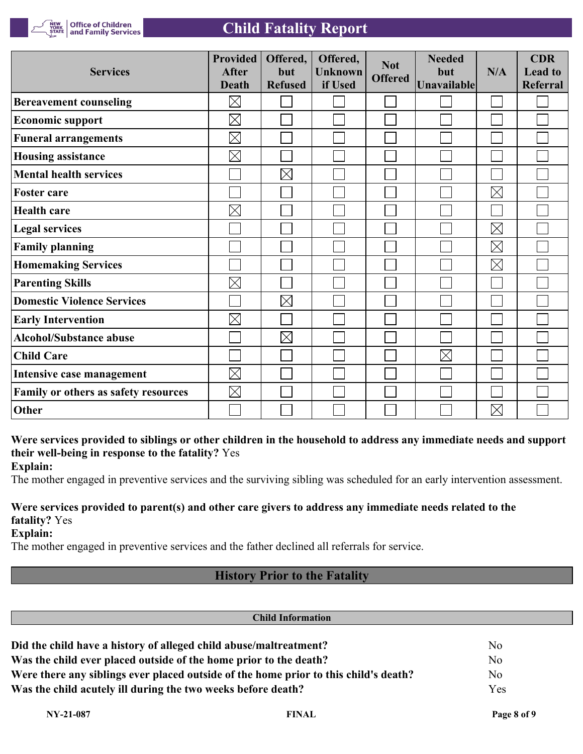

| Office of Children<br>| and Family Services

# **Child Fatality Report**

| <b>Services</b>                      | <b>Provided</b><br><b>After</b><br><b>Death</b> | Offered,<br>but<br><b>Refused</b> | Offered,<br><b>Unknown</b><br>if Used | <b>Not</b><br><b>Offered</b> | <b>Needed</b><br>but<br><b>Unavailable</b> | N/A         | <b>CDR</b><br><b>Lead to</b><br><b>Referral</b> |
|--------------------------------------|-------------------------------------------------|-----------------------------------|---------------------------------------|------------------------------|--------------------------------------------|-------------|-------------------------------------------------|
| <b>Bereavement counseling</b>        | $\boxtimes$                                     |                                   |                                       |                              |                                            |             |                                                 |
| <b>Economic support</b>              | $\boxtimes$                                     |                                   |                                       |                              |                                            |             |                                                 |
| <b>Funeral arrangements</b>          | $\boxtimes$                                     |                                   |                                       |                              |                                            |             |                                                 |
| <b>Housing assistance</b>            | $\boxtimes$                                     |                                   |                                       |                              |                                            |             |                                                 |
| <b>Mental health services</b>        |                                                 | $\boxtimes$                       |                                       |                              |                                            |             |                                                 |
| <b>Foster care</b>                   |                                                 |                                   |                                       |                              |                                            | $\boxtimes$ |                                                 |
| <b>Health care</b>                   | $\boxtimes$                                     |                                   |                                       |                              |                                            |             |                                                 |
| <b>Legal services</b>                |                                                 |                                   |                                       |                              |                                            | $\boxtimes$ |                                                 |
| <b>Family planning</b>               |                                                 |                                   |                                       |                              |                                            | $\boxtimes$ |                                                 |
| <b>Homemaking Services</b>           |                                                 |                                   |                                       |                              |                                            | $\boxtimes$ |                                                 |
| <b>Parenting Skills</b>              | $\boxtimes$                                     |                                   |                                       |                              |                                            |             |                                                 |
| <b>Domestic Violence Services</b>    |                                                 | $\boxtimes$                       |                                       |                              |                                            |             |                                                 |
| <b>Early Intervention</b>            | $\boxtimes$                                     |                                   |                                       |                              |                                            |             |                                                 |
| <b>Alcohol/Substance abuse</b>       |                                                 | $\boxtimes$                       |                                       |                              |                                            |             |                                                 |
| <b>Child Care</b>                    |                                                 |                                   |                                       |                              | $\boxtimes$                                |             |                                                 |
| Intensive case management            | $\boxtimes$                                     |                                   |                                       |                              |                                            |             |                                                 |
| Family or others as safety resources | $\boxtimes$                                     |                                   |                                       |                              |                                            |             |                                                 |
| Other                                |                                                 |                                   |                                       |                              |                                            | $\boxtimes$ |                                                 |

# **Were services provided to siblings or other children in the household to address any immediate needs and support their well-being in response to the fatality?** Yes

**Explain:**

The mother engaged in preventive services and the surviving sibling was scheduled for an early intervention assessment.

# **Were services provided to parent(s) and other care givers to address any immediate needs related to the fatality?** Yes

**Explain:**

The mother engaged in preventive services and the father declined all referrals for service.

# **History Prior to the Fatality**

| <b>Child Information</b>                                          |                                                                                      |                |  |  |  |
|-------------------------------------------------------------------|--------------------------------------------------------------------------------------|----------------|--|--|--|
| Did the child have a history of alleged child abuse/maltreatment? |                                                                                      | No             |  |  |  |
| Was the child ever placed outside of the home prior to the death? | N <sub>o</sub>                                                                       |                |  |  |  |
|                                                                   | Were there any siblings ever placed outside of the home prior to this child's death? | N <sub>o</sub> |  |  |  |
| Was the child acutely ill during the two weeks before death?      |                                                                                      | Yes            |  |  |  |
| $NY-21-087$                                                       | <b>FINAL</b>                                                                         | Page 8 of 9    |  |  |  |